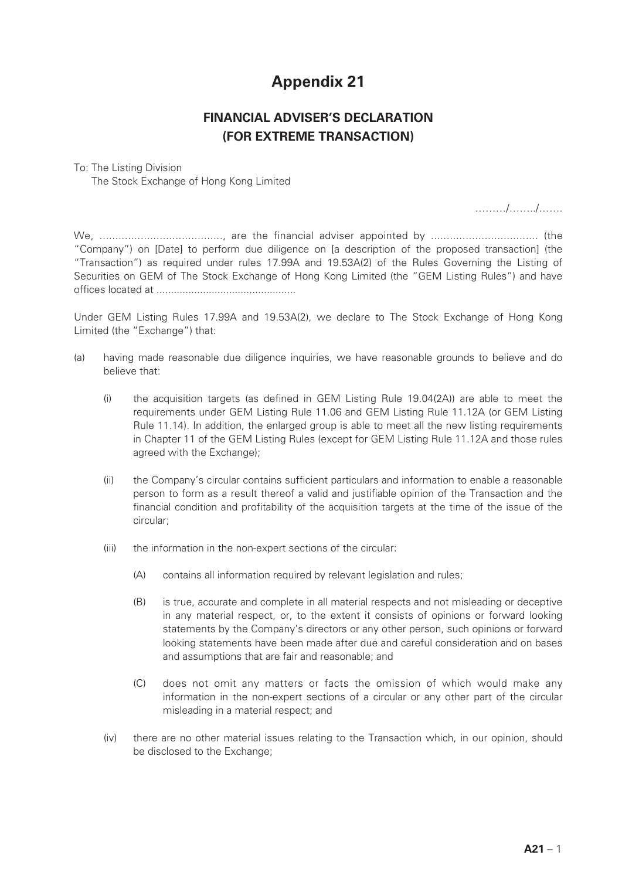## **Appendix 21**

## **FINANCIAL ADVISER'S DECLARATION (FOR EXTREME TRANSACTION)**

## To: The Listing Division

The Stock Exchange of Hong Kong Limited

………/……../…….

We, ......................................., are the financial adviser appointed by .................................. (the "Company") on [Date] to perform due diligence on [a description of the proposed transaction] (the "Transaction") as required under rules 17.99A and 19.53A(2) of the Rules Governing the Listing of Securities on GEM of The Stock Exchange of Hong Kong Limited (the "GEM Listing Rules") and have offices located at ................................................

Under GEM Listing Rules 17.99A and 19.53A(2), we declare to The Stock Exchange of Hong Kong Limited (the "Exchange") that:

- (a) having made reasonable due diligence inquiries, we have reasonable grounds to believe and do believe that:
	- (i) the acquisition targets (as defined in GEM Listing Rule 19.04(2A)) are able to meet the requirements under GEM Listing Rule 11.06 and GEM Listing Rule 11.12A (or GEM Listing Rule 11.14). In addition, the enlarged group is able to meet all the new listing requirements in Chapter 11 of the GEM Listing Rules (except for GEM Listing Rule 11.12A and those rules agreed with the Exchange);
	- (ii) the Company's circular contains sufficient particulars and information to enable a reasonable person to form as a result thereof a valid and justifiable opinion of the Transaction and the financial condition and profitability of the acquisition targets at the time of the issue of the circular;
	- (iii) the information in the non-expert sections of the circular:
		- (A) contains all information required by relevant legislation and rules;
		- (B) is true, accurate and complete in all material respects and not misleading or deceptive in any material respect, or, to the extent it consists of opinions or forward looking statements by the Company's directors or any other person, such opinions or forward looking statements have been made after due and careful consideration and on bases and assumptions that are fair and reasonable; and
		- (C) does not omit any matters or facts the omission of which would make any information in the non-expert sections of a circular or any other part of the circular misleading in a material respect; and
	- (iv) there are no other material issues relating to the Transaction which, in our opinion, should be disclosed to the Exchange;